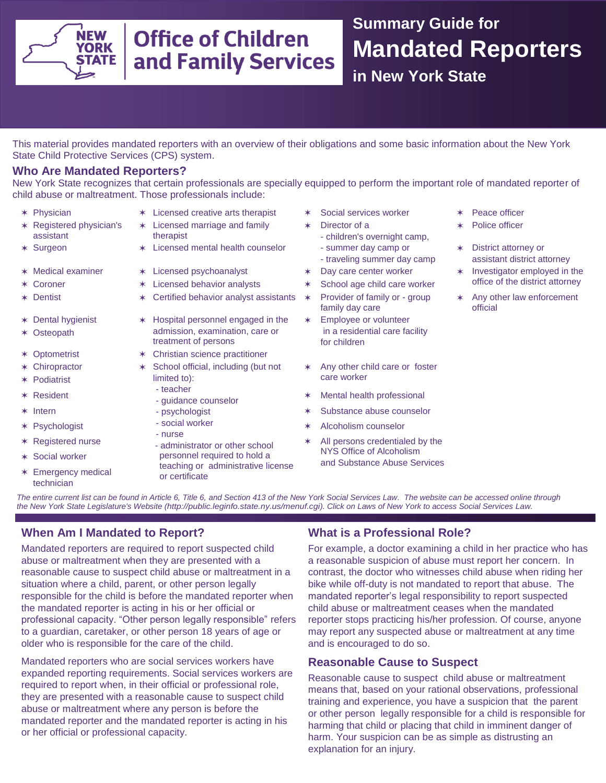

### **Summary Guide for Mandated Reporters in New York State**

This material provides mandated reporters with an overview of their obligations and some basic information about the New York State Child Protective Services (CPS) system.

#### **Who Are Mandated Reporters?**

New York State recognizes that certain professionals are specially equipped to perform the important role of mandated reporter of child abuse or maltreatment. Those professionals include:

- 
- ✶ Registered physician's assistant
- 
- 
- 
- 
- 
- ✶ Osteopath
- 
- 
- 
- 
- 
- 
- 
- 
- Emergency medical technician
- ✶ Physician ✶ Licensed creative arts therapist ✶ Social services worker ✶ Peace officer
	- ✶ Licensed marriage and family therapist
- ✶ Surgeon ✶ Licensed mental health counselor ✶ District attorney or
	-
	-
	- ✶ Dentist ✶ Certified behavior analyst assistants ✶ Provider of family or group
- ✶ Dental hygienist ✶ Hospital personnel engaged in the admission, examination, care or treatment of persons
- ✶ Optometrist ✶ Christian science practitioner
- ✶ Chiropractor ✶ School official, including (but not limited to): ✶ Podiatrist care worker
	- guidance counselor
	- psychologist
	-
	- nurse - administrator or other school personnel required to hold a teaching or administrative license or certificate Registered nurse and the completed and the second of the All persons credentialed by the Social worker **and Substance Abuse Services**<br>toophing and substance Abuse Services<br>and Substance Abuse Services
- 
- Director of a
- 
- summer day camp or
- 
- 
- family day care
- ✶ Employee or volunteer in a residential care facility for children
- ✶ Any other child care or foster
- ✶ Resident ✶ Mental health professional
- ✶ Intern ✶ Substance abuse counselor
	- Psychologist **Alcoholism** counselor **Alcoholism** counselor
		- NYS Office of Alcoholism
- 
- Police officer
- assistant district attorney
- **★ Coroner**  $\star$  Licensed behavior analysts  $\star$  School age child care worker office of the district attorney
	- ✶ Any other law enforcement official

*The entire current list can be found in Article 6, Title 6, and Section 413 of the New York Social Services Law. The website can be accessed online through the New York State Legislature's Website (http://public.leginfo.state.ny.us/menuf.cgi). Click on Laws of New York to access Social Services Law.*

#### **When Am I Mandated to Report?**

Mandated reporters are required to report suspected child abuse or maltreatment when they are presented with a reasonable cause to suspect child abuse or maltreatment in a situation where a child, parent, or other person legally responsible for the child is before the mandated reporter when the mandated reporter is acting in his or her official or professional capacity. "Other person legally responsible" refers to a guardian, caretaker, or other person 18 years of age or older who is responsible for the care of the child.

Mandated reporters who are social services workers have expanded reporting requirements. Social services workers are required to report when, in their official or professional role, they are presented with a reasonable cause to suspect child abuse or maltreatment where any person is before the mandated reporter and the mandated reporter is acting in his or her official or professional capacity.

#### **What is a Professional Role?**

For example, a doctor examining a child in her practice who has a reasonable suspicion of abuse must report her concern. In contrast, the doctor who witnesses child abuse when riding her bike while off-duty is not mandated to report that abuse. The mandated reporter's legal responsibility to report suspected child abuse or maltreatment ceases when the mandated reporter stops practicing his/her profession. Of course, anyone may report any suspected abuse or maltreatment at any time and is encouraged to do so.

#### **Reasonable Cause to Suspect**

Reasonable cause to suspect child abuse or maltreatment means that, based on your rational observations, professional training and experience, you have a suspicion that the parent or other person legally responsible for a child is responsible for harming that child or placing that child in imminent danger of harm. Your suspicion can be as simple as distrusting an explanation for an injury.

- ✶ Medical examiner ✶ Licensed psychoanalyst ✶ Day care center worker ✶ Investigator employed in the
	-
	-
- -
	- - teacher
		-
		- social worker
- 
- children's overnight camp,
- traveling summer day camp
- 
- 
-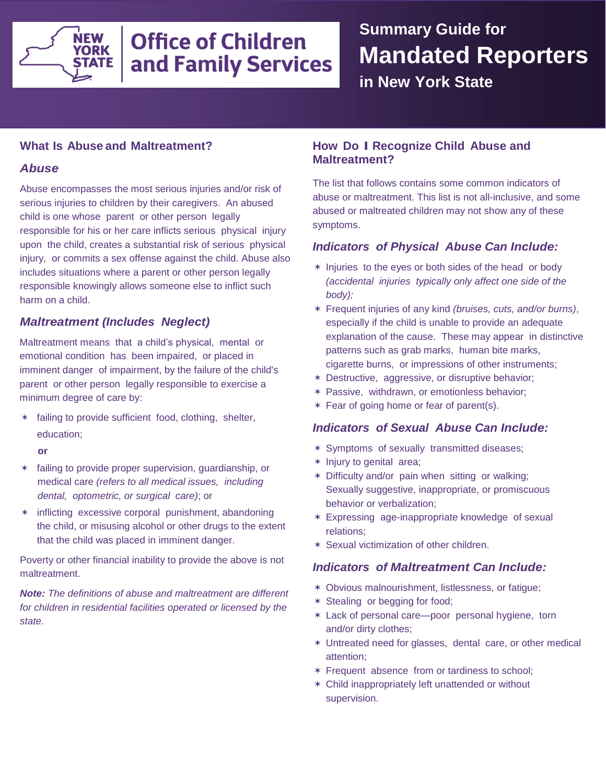

### **Summary Guide for Mandated Reporters in New York State**

#### **What Is Abuse and Maltreatment?**

#### *Abuse*

Abuse encompasses the most serious injuries and/or risk of serious injuries to children by their caregivers. An abused child is one whose parent or other person legally responsible for his or her care inflicts serious physical injury upon the child, creates a substantial risk of serious physical injury, or commits a sex offense against the child. Abuse also includes situations where a parent or other person legally responsible knowingly allows someone else to inflict such harm on a child.

### *Maltreatment (Includes Neglect)*

Maltreatment means that a child's physical, mental or emotional condition has been impaired, or placed in imminent danger of impairment, by the failure of the child's parent or other person legally responsible to exercise a minimum degree of care by:

- ✶ failing to provide sufficient food, clothing, shelter, education;
	- **or**
- ✶ failing to provide proper supervision, guardianship, or medical care *(refers to all medical issues, including dental, optometric, or surgical care)*; or
- ✶ inflicting excessive corporal punishment, abandoning the child, or misusing alcohol or other drugs to the extent that the child was placed in imminent danger.

Poverty or other financial inability to provide the above is not maltreatment.

*Note: The definitions of abuse and maltreatment are different for children in residential facilities operated or licensed by the state.*

#### **How Do I Recognize Child Abuse and Maltreatment?**

The list that follows contains some common indicators of abuse or maltreatment. This list is not all-inclusive, and some abused or maltreated children may not show any of these symptoms.

#### *Indicators of Physical Abuse Can Include:*

- ✶ Injuries to the eyes or both sides of the head or body *(accidental injuries typically only affect one side of the body);*
- ✶ Frequent injuries of any kind *(bruises, cuts, and/or burns)*, especially if the child is unable to provide an adequate explanation of the cause. These may appear in distinctive patterns such as grab marks, human bite marks, cigarette burns, or impressions of other instruments;
- ✶ Destructive, aggressive, or disruptive behavior;
- ✶ Passive, withdrawn, or emotionless behavior;
- ✶ Fear of going home or fear of parent(s).

#### *Indicators of Sexual Abuse Can Include:*

- ✶ Symptoms of sexually transmitted diseases;
- ✶ Injury to genital area;
- ✶ Difficulty and/or pain when sitting or walking; Sexually suggestive, inappropriate, or promiscuous behavior or verbalization;
- ✶ Expressing age-inappropriate knowledge of sexual relations;
- ✶ Sexual victimization of other children.

#### *Indicators of Maltreatment Can Include:*

- ✶ Obvious malnourishment, listlessness, or fatigue;
- ✶ Stealing or begging for food;
- ✶ Lack of personal care—poor personal hygiene, torn and/or dirty clothes;
- ✶ Untreated need for glasses, dental care, or other medical attention;
- ✶ Frequent absence from or tardiness to school;
- ✶ Child inappropriately left unattended or without supervision.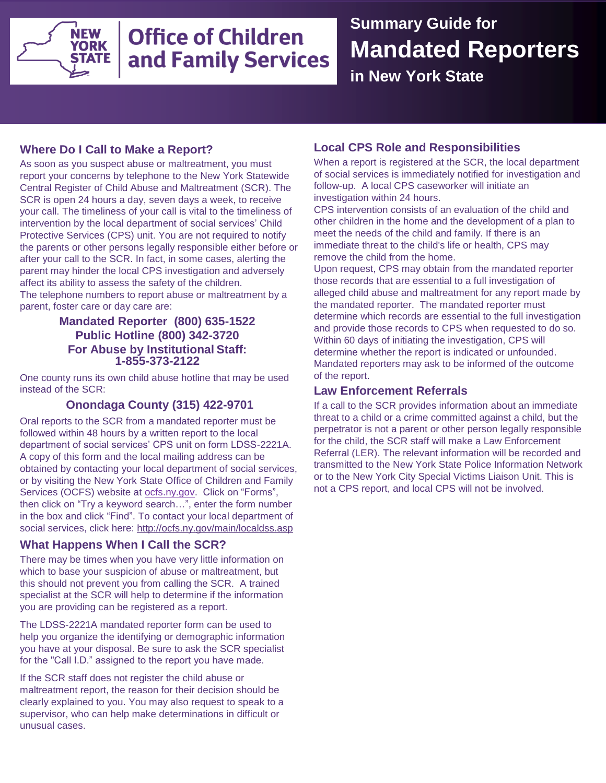

### **Summary Guide for Mandated Reporters in New York State**

#### **Where Do I Call to Make a Report?**

As soon as you suspect abuse or maltreatment, you must report your concerns by telephone to the New York Statewide Central Register of Child Abuse and Maltreatment (SCR). The SCR is open 24 hours a day, seven days a week, to receive your call. The timeliness of your call is vital to the timeliness of intervention by the local department of social services' Child Protective Services (CPS) unit. You are not required to notify the parents or other persons legally responsible either before or after your call to the SCR. In fact, in some cases, alerting the parent may hinder the local CPS investigation and adversely affect its ability to assess the safety of the children. The telephone numbers to report abuse or maltreatment by a parent, foster care or day care are:

#### **Mandated Reporter (800) 635-1522 Public Hotline (800) 342-3720 For Abuse by Institutional Staff: 1-855-373-2122**

One county runs its own child abuse hotline that may be used instead of the SCR:

#### **Onondaga County (315) 422-9701**

Oral reports to the SCR from a mandated reporter must be followed within 48 hours by a written report to the local department of social services' CPS unit on form LDSS-2221A. A copy of this form and the local mailing address can be obtained by contacting your local department of social services, or by visiting the New York State Office of Children and Family Services (OCFS) website at ocfs.ny.gov. Click on "Forms", then click on "Try a keyword search…", enter the form number in the box and click "Find". To contact your local department of social services, click here: http://ocfs.ny.gov/main/localdss.asp

#### **What Happens When I Call the SCR?**

There may be times when you have very little information on which to base your suspicion of abuse or maltreatment, but this should not prevent you from calling the SCR. A trained specialist at the SCR will help to determine if the information you are providing can be registered as a report.

The LDSS-2221A mandated reporter form can be used to help you organize the identifying or demographic information you have at your disposal. Be sure to ask the SCR specialist for the "Call I.D." assigned to the report you have made.

If the SCR staff does not register the child abuse or maltreatment report, the reason for their decision should be clearly explained to you. You may also request to speak to a supervisor, who can help make determinations in difficult or unusual cases.

#### **Local CPS Role and Responsibilities**

When a report is registered at the SCR, the local department of social services is immediately notified for investigation and follow-up. A local CPS caseworker will initiate an investigation within 24 hours.

CPS intervention consists of an evaluation of the child and other children in the home and the development of a plan to meet the needs of the child and family. If there is an immediate threat to the child's life or health, CPS may remove the child from the home.

Upon request, CPS may obtain from the mandated reporter those records that are essential to a full investigation of alleged child abuse and maltreatment for any report made by the mandated reporter. The mandated reporter must determine which records are essential to the full investigation and provide those records to CPS when requested to do so. Within 60 days of initiating the investigation, CPS will determine whether the report is indicated or unfounded. Mandated reporters may ask to be informed of the outcome of the report.

#### **Law Enforcement Referrals**

If a call to the SCR provides information about an immediate threat to a child or a crime committed against a child, but the perpetrator is not a parent or other person legally responsible for the child, the SCR staff will make a Law Enforcement Referral (LER). The relevant information will be recorded and transmitted to the New York State Police Information Network or to the New York City Special Victims Liaison Unit. This is not a CPS report, and local CPS will not be involved.